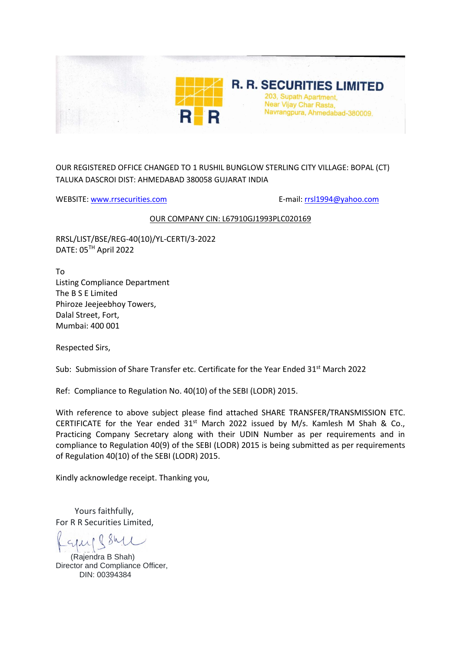

OUR REGISTERED OFFICE CHANGED TO 1 RUSHIL BUNGLOW STERLING CITY VILLAGE: BOPAL (CT) TALUKA DASCROI DIST: AHMEDABAD 380058 GUJARAT INDIA

WEBSITE: [www.rrsecurities.com](http://www.rrsecurities.com/) example and the mail: [rrsl1994@yahoo.com](mailto:rrsl1994@yahoo.com)

## OUR COMPANY CIN: L67910GJ1993PLC020169

RRSL/LIST/BSE/REG-40(10)/YL-CERTI/3-2022 DATE: 05TH April 2022

To Listing Compliance Department The B S E Limited Phiroze Jeejeebhoy Towers, Dalal Street, Fort, Mumbai: 400 001

Respected Sirs,

Sub: Submission of Share Transfer etc. Certificate for the Year Ended 31st March 2022

Ref: Compliance to Regulation No. 40(10) of the SEBI (LODR) 2015.

With reference to above subject please find attached SHARE TRANSFER/TRANSMISSION ETC. CERTIFICATE for the Year ended  $31<sup>st</sup>$  March 2022 issued by M/s. Kamlesh M Shah & Co., Practicing Company Secretary along with their UDIN Number as per requirements and in compliance to Regulation 40(9) of the SEBI (LODR) 2015 is being submitted as per requirements of Regulation 40(10) of the SEBI (LODR) 2015.

Kindly acknowledge receipt. Thanking you,

 Yours faithfully, For R R Securities Limited,

 (Rajendra B Shah) Director and Compliance Officer, DIN: 00394384